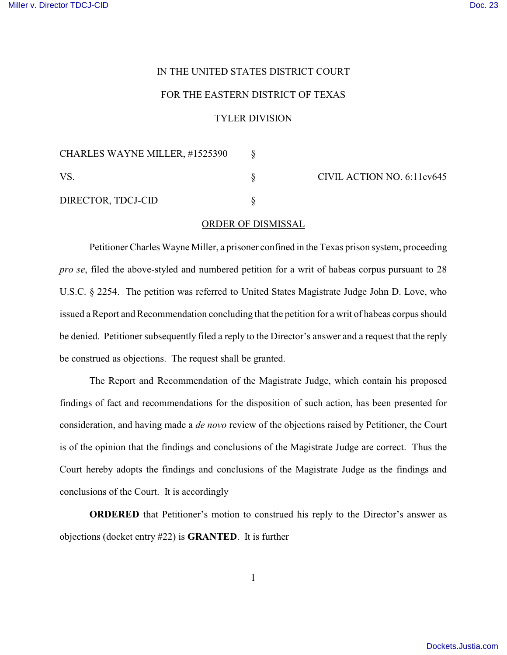## IN THE UNITED STATES DISTRICT COURT

## FOR THE EASTERN DISTRICT OF TEXAS

## TYLER DIVISION

| CHARLES WAYNE MILLER, #1525390 |                            |
|--------------------------------|----------------------------|
| VS.                            | CIVIL ACTION NO. 6:11cv645 |
| DIRECTOR, TDCJ-CID             |                            |

## ORDER OF DISMISSAL

Petitioner Charles Wayne Miller, a prisoner confined in the Texas prison system, proceeding *pro se*, filed the above-styled and numbered petition for a writ of habeas corpus pursuant to 28 U.S.C. § 2254. The petition was referred to United States Magistrate Judge John D. Love, who issued a Report and Recommendation concluding that the petition for a writ of habeas corpus should be denied. Petitioner subsequently filed a reply to the Director's answer and a request that the reply be construed as objections. The request shall be granted.

The Report and Recommendation of the Magistrate Judge, which contain his proposed findings of fact and recommendations for the disposition of such action, has been presented for consideration, and having made a *de novo* review of the objections raised by Petitioner, the Court is of the opinion that the findings and conclusions of the Magistrate Judge are correct. Thus the Court hereby adopts the findings and conclusions of the Magistrate Judge as the findings and conclusions of the Court. It is accordingly

**ORDERED** that Petitioner's motion to construed his reply to the Director's answer as objections (docket entry #22) is **GRANTED**. It is further